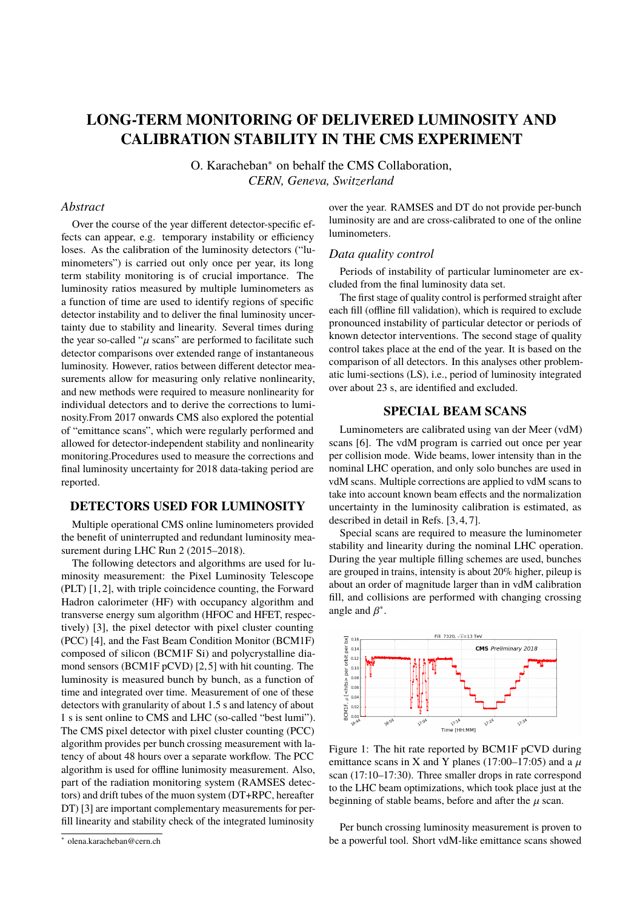# **LONG-TERM MONITORING OF DELIVERED LUMINOSITY AND CALIBRATION STABILITY IN THE CMS EXPERIMENT**

O. Karacheban<sup>∗</sup> on behalf the CMS Collaboration, *CERN, Geneva, Switzerland*

### *Abstract*

Over the course of the year different detector-specific effects can appear, e.g. temporary instability or efficiency loses. As the calibration of the luminosity detectors ("luminometers") is carried out only once per year, its long term stability monitoring is of crucial importance. The luminosity ratios measured by multiple luminometers as a function of time are used to identify regions of specific detector instability and to deliver the final luminosity uncertainty due to stability and linearity. Several times during the year so-called " $\mu$  scans" are performed to facilitate such detector comparisons over extended range of instantaneous luminosity. However, ratios between different detector measurements allow for measuring only relative nonlinearity, and new methods were required to measure nonlinearity for individual detectors and to derive the corrections to luminosity.From 2017 onwards CMS also explored the potential of "emittance scans", which were regularly performed and allowed for detector-independent stability and nonlinearity monitoring.Procedures used to measure the corrections and final luminosity uncertainty for 2018 data-taking period are reported.

### **DETECTORS USED FOR LUMINOSITY**

Multiple operational CMS online luminometers provided the benefit of uninterrupted and redundant luminosity measurement during LHC Run 2 (2015–2018).

The following detectors and algorithms are used for luminosity measurement: the Pixel Luminosity Telescope (PLT) [1, 2], with triple coincidence counting, the Forward Hadron calorimeter (HF) with occupancy algorithm and transverse energy sum algorithm (HFOC and HFET, respectively) [3], the pixel detector with pixel cluster counting (PCC) [4], and the Fast Beam Condition Monitor (BCM1F) composed of silicon (BCM1F Si) and polycrystalline diamond sensors (BCM1F pCVD) [2, 5] with hit counting. The luminosity is measured bunch by bunch, as a function of time and integrated over time. Measurement of one of these detectors with granularity of about 1.5 s and latency of about 1 s is sent online to CMS and LHC (so-called "best lumi"). The CMS pixel detector with pixel cluster counting (PCC) algorithm provides per bunch crossing measurement with latency of about 48 hours over a separate workflow. The PCC algorithm is used for offline lunimosity measurement. Also, part of the radiation monitoring system (RAMSES detectors) and drift tubes of the muon system (DT+RPC, hereafter DT) [3] are important complementary measurements for perfill linearity and stability check of the integrated luminosity

over the year. RAMSES and DT do not provide per-bunch luminosity are and are cross-calibrated to one of the online luminometers.

#### *Data quality control*

Periods of instability of particular luminometer are excluded from the final luminosity data set.

The first stage of quality control is performed straight after each fill (offline fill validation), which is required to exclude pronounced instability of particular detector or periods of known detector interventions. The second stage of quality control takes place at the end of the year. It is based on the comparison of all detectors. In this analyses other problematic lumi-sections (LS), i.e., period of luminosity integrated over about 23 s, are identified and excluded.

### **SPECIAL BEAM SCANS**

Luminometers are calibrated using van der Meer (vdM) scans [6]. The vdM program is carried out once per year per collision mode. Wide beams, lower intensity than in the nominal LHC operation, and only solo bunches are used in vdM scans. Multiple corrections are applied to vdM scans to take into account known beam effects and the normalization uncertainty in the luminosity calibration is estimated, as described in detail in Refs. [3, 4, 7].

Special scans are required to measure the luminometer stability and linearity during the nominal LHC operation. During the year multiple filling schemes are used, bunches are grouped in trains, intensity is about 20% higher, pileup is about an order of magnitude larger than in vdM calibration fill, and collisions are performed with changing crossing angle and  $\beta^*$ .



Figure 1: The hit rate reported by BCM1F pCVD during emittance scans in X and Y planes (17:00–17:05) and a  $\mu$ scan (17:10–17:30). Three smaller drops in rate correspond to the LHC beam optimizations, which took place just at the beginning of stable beams, before and after the  $\mu$  scan.

Per bunch crossing luminosity measurement is proven to be a powerful tool. Short vdM-like emittance scans showed

<sup>∗</sup> olena.karacheban@cern.ch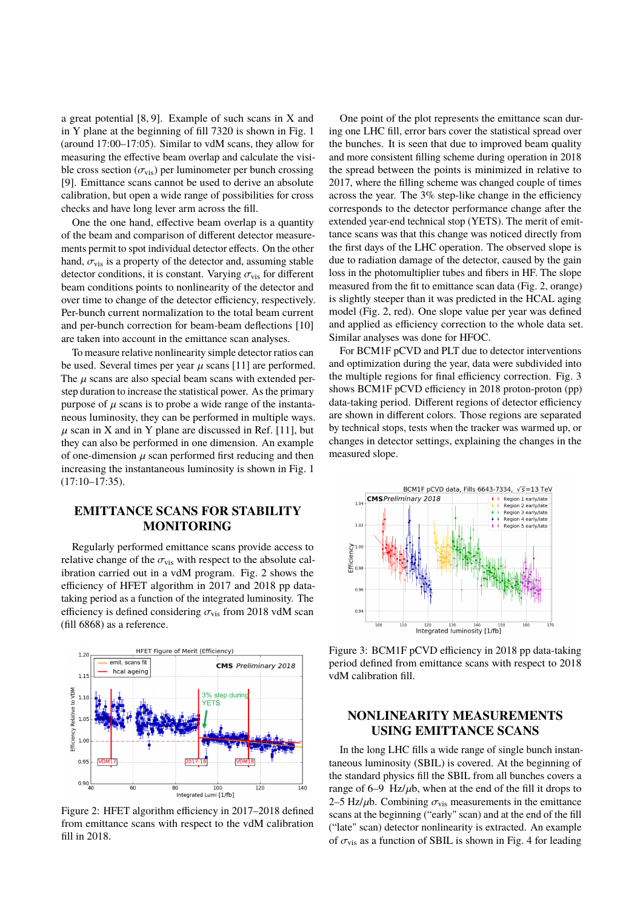a great potential [8, 9]. Example of such scans in X and in Y plane at the beginning of fill 7320 is shown in Fig. 1 (around 17:00–17:05). Similar to vdM scans, they allow for measuring the effective beam overlap and calculate the visible cross section  $(\sigma_{vis})$  per luminometer per bunch crossing [9]. Emittance scans cannot be used to derive an absolute calibration, but open a wide range of possibilities for cross checks and have long lever arm across the fill.

One the one hand, effective beam overlap is a quantity of the beam and comparison of different detector measurements permit to spot individual detector effects. On the other hand,  $\sigma_{vis}$  is a property of the detector and, assuming stable detector conditions, it is constant. Varying  $\sigma_{vis}$  for different beam conditions points to nonlinearity of the detector and over time to change of the detector efficiency, respectively. Per-bunch current normalization to the total beam current and per-bunch correction for beam-beam deflections [10] are taken into account in the emittance scan analyses.

To measure relative nonlinearity simple detector ratios can be used. Several times per year  $\mu$  scans [11] are performed. The  $\mu$  scans are also special beam scans with extended perstep duration to increase the statistical power. As the primary purpose of  $\mu$  scans is to probe a wide range of the instantaneous luminosity, they can be performed in multiple ways.  $\mu$  scan in X and in Y plane are discussed in Ref. [11], but they can also be performed in one dimension. An example of one-dimension  $\mu$  scan performed first reducing and then increasing the instantaneous luminosity is shown in Fig. 1 (17:10–17:35).

### **EMITTANCE SCANS FOR STABILITY MONITORING**

Regularly performed emittance scans provide access to relative change of the  $\sigma_{\text{vis}}$  with respect to the absolute calibration carried out in a vdM program. Fig. 2 shows the efficiency of HFET algorithm in 2017 and 2018 pp datataking period as a function of the integrated luminosity. The efficiency is defined considering  $\sigma_{\text{vis}}$  from 2018 vdM scan (fill 6868) as a reference.



Figure 2: HFET algorithm efficiency in 2017–2018 defined from emittance scans with respect to the vdM calibration fill in 2018.

One point of the plot represents the emittance scan during one LHC fill, error bars cover the statistical spread over the bunches. It is seen that due to improved beam quality and more consistent filling scheme during operation in 2018 the spread between the points is minimized in relative to 2017, where the filling scheme was changed couple of times across the year. The 3% step-like change in the efficiency corresponds to the detector performance change after the extended year-end technical stop (YETS). The merit of emittance scans was that this change was noticed directly from the first days of the LHC operation. The observed slope is due to radiation damage of the detector, caused by the gain loss in the photomultiplier tubes and fibers in HF. The slope measured from the fit to emittance scan data (Fig. 2, orange) is slightly steeper than it was predicted in the HCAL aging model (Fig. 2, red). One slope value per year was defined and applied as efficiency correction to the whole data set. Similar analyses was done for HFOC.

For BCM1F pCVD and PLT due to detector interventions and optimization during the year, data were subdivided into the multiple regions for final efficiency correction. Fig. 3 shows BCM1F pCVD efficiency in 2018 proton-proton (pp) data-taking period. Different regions of detector efficiency are shown in different colors. Those regions are separated by technical stops, tests when the tracker was warmed up, or changes in detector settings, explaining the changes in the measured slope.



Figure 3: BCM1F pCVD efficiency in 2018 pp data-taking period defined from emittance scans with respect to 2018 vdM calibration fill.

## **NONLINEARITY MEASUREMENTS USING EMITTANCE SCANS**

In the long LHC fills a wide range of single bunch instantaneous luminosity (SBIL) is covered. At the beginning of the standard physics fill the SBIL from all bunches covers a range of  $6-9$  Hz/ $\mu$ b, when at the end of the fill it drops to 2–5 Hz/ $\mu$ b. Combining  $\sigma_{\rm vis}$  measurements in the emittance scans at the beginning ("early" scan) and at the end of the fill ("late" scan) detector nonlinearity is extracted. An example of  $\sigma_{\text{vis}}$  as a function of SBIL is shown in Fig. 4 for leading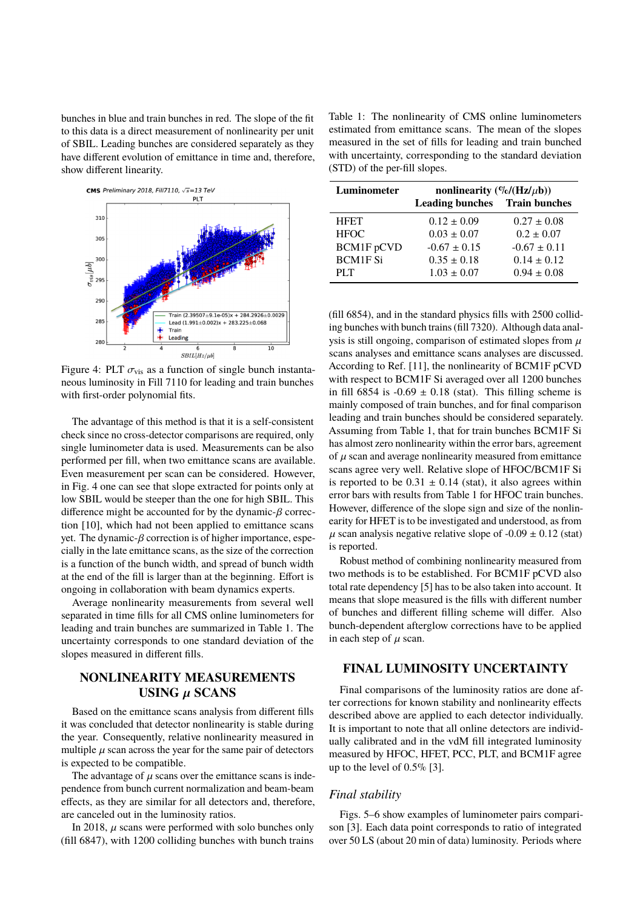bunches in blue and train bunches in red. The slope of the fit to this data is a direct measurement of nonlinearity per unit of SBIL. Leading bunches are considered separately as they have different evolution of emittance in time and, therefore, show different linearity.



Figure 4: PLT  $\sigma_{vis}$  as a function of single bunch instantaneous luminosity in Fill 7110 for leading and train bunches with first-order polynomial fits.

The advantage of this method is that it is a self-consistent check since no cross-detector comparisons are required, only single luminometer data is used. Measurements can be also performed per fill, when two emittance scans are available. Even measurement per scan can be considered. However, in Fig. 4 one can see that slope extracted for points only at low SBIL would be steeper than the one for high SBIL. This difference might be accounted for by the dynamic- $\beta$  correction [10], which had not been applied to emittance scans yet. The dynamic- $\beta$  correction is of higher importance, especially in the late emittance scans, as the size of the correction is a function of the bunch width, and spread of bunch width at the end of the fill is larger than at the beginning. Effort is ongoing in collaboration with beam dynamics experts.

Average nonlinearity measurements from several well separated in time fills for all CMS online luminometers for leading and train bunches are summarized in Table 1. The uncertainty corresponds to one standard deviation of the slopes measured in different fills.

# **NONLINEARITY MEASUREMENTS USING** µ **SCANS**

Based on the emittance scans analysis from different fills it was concluded that detector nonlinearity is stable during the year. Consequently, relative nonlinearity measured in multiple  $\mu$  scan across the year for the same pair of detectors is expected to be compatible.

The advantage of  $\mu$  scans over the emittance scans is independence from bunch current normalization and beam-beam effects, as they are similar for all detectors and, therefore, are canceled out in the luminosity ratios.

In 2018,  $\mu$  scans were performed with solo bunches only (fill 6847), with 1200 colliding bunches with bunch trains

Table 1: The nonlinearity of CMS online luminometers estimated from emittance scans. The mean of the slopes measured in the set of fills for leading and train bunched with uncertainty, corresponding to the standard deviation (STD) of the per-fill slopes.

| Luminometer       | nonlinearity $(\%/(Hz/\mu b))$       |                  |
|-------------------|--------------------------------------|------------------|
|                   | <b>Leading bunches</b> Train bunches |                  |
| <b>HFET</b>       | $0.12 \pm 0.09$                      | $0.27 \pm 0.08$  |
| <b>HFOC</b>       | $0.03 \pm 0.07$                      | $0.2 \pm 0.07$   |
| <b>BCM1F</b> pCVD | $-0.67 \pm 0.15$                     | $-0.67 \pm 0.11$ |
| <b>BCM1F Si</b>   | $0.35 \pm 0.18$                      | $0.14 \pm 0.12$  |
| PI.T              | $1.03 \pm 0.07$                      | $0.94 \pm 0.08$  |

(fill 6854), and in the standard physics fills with 2500 colliding bunches with bunch trains (fill 7320). Although data analysis is still ongoing, comparison of estimated slopes from  $\mu$ scans analyses and emittance scans analyses are discussed. According to Ref. [11], the nonlinearity of BCM1F pCVD with respect to BCM1F Si averaged over all 1200 bunches in fill 6854 is  $-0.69 \pm 0.18$  (stat). This filling scheme is mainly composed of train bunches, and for final comparison leading and train bunches should be considered separately. Assuming from Table 1, that for train bunches BCM1F Si has almost zero nonlinearity within the error bars, agreement of  $\mu$  scan and average nonlinearity measured from emittance scans agree very well. Relative slope of HFOC/BCM1F Si is reported to be  $0.31 \pm 0.14$  (stat), it also agrees within error bars with results from Table 1 for HFOC train bunches. However, difference of the slope sign and size of the nonlinearity for HFET is to be investigated and understood, as from  $\mu$  scan analysis negative relative slope of -0.09  $\pm$  0.12 (stat) is reported.

Robust method of combining nonlinearity measured from two methods is to be established. For BCM1F pCVD also total rate dependency [5] has to be also taken into account. It means that slope measured is the fills with different number of bunches and different filling scheme will differ. Also bunch-dependent afterglow corrections have to be applied in each step of  $\mu$  scan.

### **FINAL LUMINOSITY UNCERTAINTY**

Final comparisons of the luminosity ratios are done after corrections for known stability and nonlinearity effects described above are applied to each detector individually. It is important to note that all online detectors are individually calibrated and in the vdM fill integrated luminosity measured by HFOC, HFET, PCC, PLT, and BCM1F agree up to the level of  $0.5\%$  [3].

### *Final stability*

Figs. 5–6 show examples of luminometer pairs comparison [3]. Each data point corresponds to ratio of integrated over 50 LS (about 20 min of data) luminosity. Periods where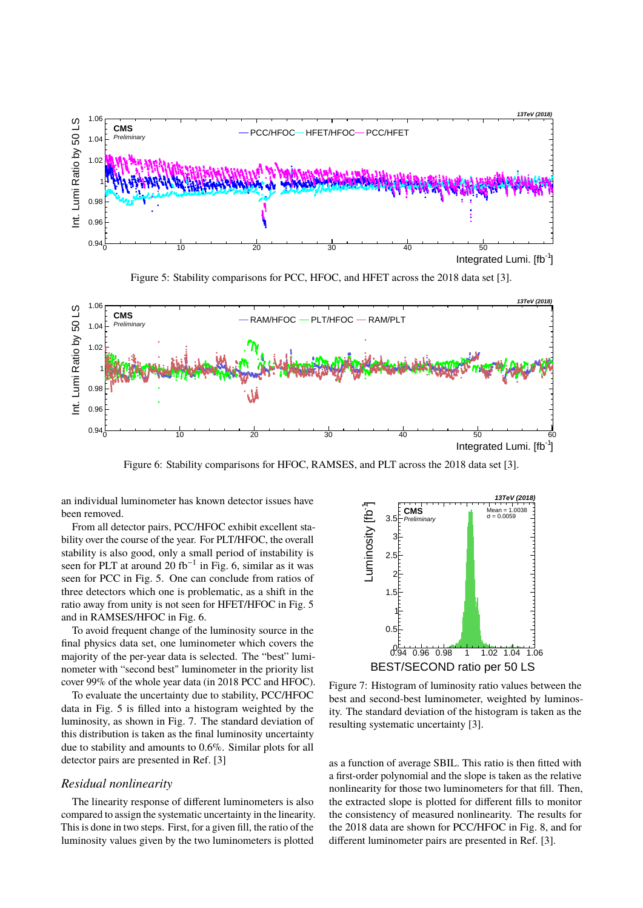

Figure 5: Stability comparisons for PCC, HFOC, and HFET across the 2018 data set [3].



Figure 6: Stability comparisons for HFOC, RAMSES, and PLT across the 2018 data set [3].

an individual luminometer has known detector issues have been removed.

From all detector pairs, PCC/HFOC exhibit excellent stability over the course of the year. For PLT/HFOC, the overall stability is also good, only a small period of instability is seen for PLT at around 20 fb<sup>-1</sup> in Fig. 6, similar as it was seen for PCC in Fig. 5. One can conclude from ratios of three detectors which one is problematic, as a shift in the ratio away from unity is not seen for HFET/HFOC in Fig. 5 and in RAMSES/HFOC in Fig. 6.

To avoid frequent change of the luminosity source in the final physics data set, one luminometer which covers the majority of the per-year data is selected. The "best" luminometer with "second best" luminometer in the priority list cover 99% of the whole year data (in 2018 PCC and HFOC).

To evaluate the uncertainty due to stability, PCC/HFOC data in Fig. 5 is filled into a histogram weighted by the luminosity, as shown in Fig. 7. The standard deviation of this distribution is taken as the final luminosity uncertainty due to stability and amounts to 0.6%. Similar plots for all detector pairs are presented in Ref. [3]

### *Residual nonlinearity*

The linearity response of different luminometers is also compared to assign the systematic uncertainty in the linearity. This is done in two steps. First, for a given fill, the ratio of the luminosity values given by the two luminometers is plotted



Figure 7: Histogram of luminosity ratio values between the best and second-best luminometer, weighted by luminosity. The standard deviation of the histogram is taken as the resulting systematic uncertainty [3].

as a function of average SBIL. This ratio is then fitted with a first-order polynomial and the slope is taken as the relative nonlinearity for those two luminometers for that fill. Then, the extracted slope is plotted for different fills to monitor the consistency of measured nonlinearity. The results for the 2018 data are shown for PCC/HFOC in Fig. 8, and for different luminometer pairs are presented in Ref. [3].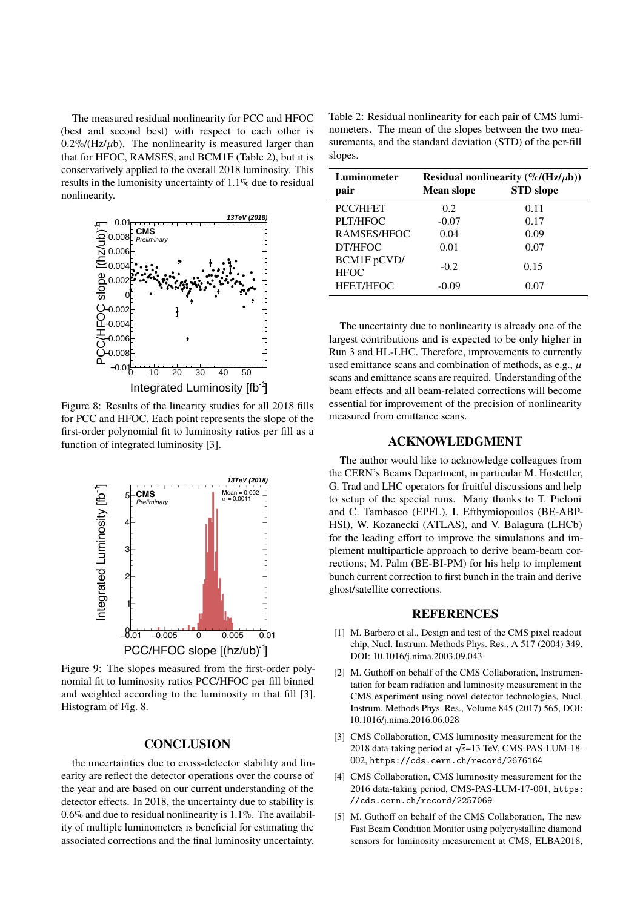The measured residual nonlinearity for PCC and HFOC (best and second best) with respect to each other is  $0.2\%$ /(Hz/ $\mu$ b). The nonlinearity is measured larger than that for HFOC, RAMSES, and BCM1F (Table 2), but it is conservatively applied to the overall 2018 luminosity. This results in the lumonisity uncertainty of 1.1% due to residual nonlinearity.



Figure 8: Results of the linearity studies for all 2018 fills for PCC and HFOC. Each point represents the slope of the first-order polynomial fit to luminosity ratios per fill as a function of integrated luminosity [3].



Figure 9: The slopes measured from the first-order polynomial fit to luminosity ratios PCC/HFOC per fill binned and weighted according to the luminosity in that fill [3]. Histogram of Fig. 8.

#### **CONCLUSION**

the uncertainties due to cross-detector stability and linearity are reflect the detector operations over the course of the year and are based on our current understanding of the detector effects. In 2018, the uncertainty due to stability is 0.6% and due to residual nonlinearity is 1.1%. The availability of multiple luminometers is beneficial for estimating the associated corrections and the final luminosity uncertainty.

Table 2: Residual nonlinearity for each pair of CMS luminometers. The mean of the slopes between the two measurements, and the standard deviation (STD) of the per-fill slopes.

| Luminometer<br>pair        | Residual nonlinearity $(\%/(Hz/\mu b))$<br><b>STD</b> slope<br><b>Mean slope</b> |      |
|----------------------------|----------------------------------------------------------------------------------|------|
| <b>PCC/HFET</b>            | 0.2                                                                              | 0.11 |
| PLT/HFOC                   | $-0.07$                                                                          | 0.17 |
| RAMSES/HFOC                | 0.04                                                                             | 0.09 |
| DT/HFOC                    | 0.01                                                                             | 0.07 |
| BCM1F pCVD/<br><b>HFOC</b> | $-0.2$                                                                           | 0.15 |
| <b>HFET/HFOC</b>           | -0.09                                                                            | 0.07 |

The uncertainty due to nonlinearity is already one of the largest contributions and is expected to be only higher in Run 3 and HL-LHC. Therefore, improvements to currently used emittance scans and combination of methods, as e.g.,  $\mu$ scans and emittance scans are required. Understanding of the beam effects and all beam-related corrections will become essential for improvement of the precision of nonlinearity measured from emittance scans.

### **ACKNOWLEDGMENT**

The author would like to acknowledge colleagues from the CERN's Beams Department, in particular M. Hostettler, G. Trad and LHC operators for fruitful discussions and help to setup of the special runs. Many thanks to T. Pieloni and C. Tambasco (EPFL), I. Efthymiopoulos (BE-ABP-HSI), W. Kozanecki (ATLAS), and V. Balagura (LHCb) for the leading effort to improve the simulations and implement multiparticle approach to derive beam-beam corrections; M. Palm (BE-BI-PM) for his help to implement bunch current correction to first bunch in the train and derive ghost/satellite corrections.

### **REFERENCES**

- [1] M. Barbero et al., Design and test of the CMS pixel readout chip, Nucl. Instrum. Methods Phys. Res., A 517 (2004) 349, DOI: 10.1016/j.nima.2003.09.043
- [2] M. Guthoff on behalf of the CMS Collaboration, Instrumentation for beam radiation and luminosity measurement in the CMS experiment using novel detector technologies, Nucl. Instrum. Methods Phys. Res., Volume 845 (2017) 565, DOI: 10.1016/j.nima.2016.06.028
- [3] CMS Collaboration, CMS luminosity measurement for the 2018 data-taking period at <sup>√</sup> *s*=13 TeV, CMS-PAS-LUM-18- 002, https://cds.cern.ch/record/2676164
- [4] CMS Collaboration, CMS luminosity measurement for the 2016 data-taking period, CMS-PAS-LUM-17-001, https: //cds.cern.ch/record/2257069
- [5] M. Guthoff on behalf of the CMS Collaboration, The new Fast Beam Condition Monitor using polycrystalline diamond sensors for luminosity measurement at CMS, ELBA2018,